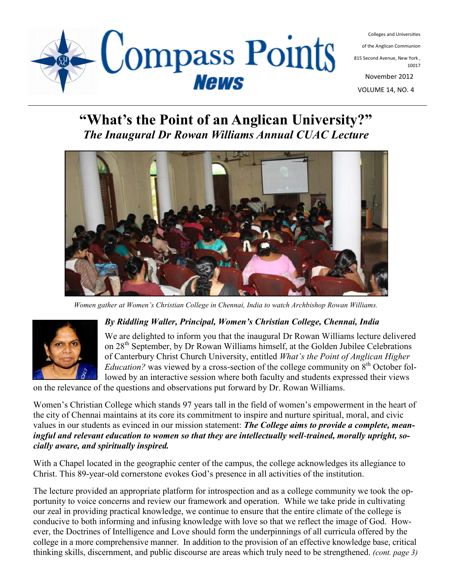

of the Anglican Communion

815 Second Avenue, New York , 10017

November 2012

VOLUME 14, NO. 4

#### **"What's the Point of an Anglican University?"** *The Inaugural Dr Rowan Williams Annual CUAC Lecture*

Compass Points



*Women gather at Women's Christian College in Chennai, India to watch Archbishop Rowan Williams.*



#### *By Riddling Waller, Principal, Women's Christian College, Chennai, India*

We are delighted to inform you that the inaugural Dr Rowan Williams lecture delivered on 28<sup>th</sup> September, by Dr Rowan Williams himself, at the Golden Jubilee Celebrations of Canterbury Christ Church University, entitled *What's the Point of Anglican Higher Education?* was viewed by a cross-section of the college community on  $8<sup>th</sup>$  October followed by an interactive session where both faculty and students expressed their views

on the relevance of the questions and observations put forward by Dr. Rowan Williams.

Women's Christian College which stands 97 years tall in the field of women's empowerment in the heart of the city of Chennai maintains at its core its commitment to inspire and nurture spiritual, moral, and civic values in our students as evinced in our mission statement: *The College aims to provide a complete, meaningful and relevant education to women so that they are intellectually well-trained, morally upright, socially aware, and spiritually inspired.*

With a Chapel located in the geographic center of the campus, the college acknowledges its allegiance to Christ. This 89-year-old cornerstone evokes God's presence in all activities of the institution.

The lecture provided an appropriate platform for introspection and as a college community we took the opportunity to voice concerns and review our framework and operation. While we take pride in cultivating our zeal in providing practical knowledge, we continue to ensure that the entire climate of the college is conducive to both informing and infusing knowledge with love so that we reflect the image of God. However, the Doctrines of Intelligence and Love should form the underpinnings of all curricula offered by the college in a more comprehensive manner. In addition to the provision of an effective knowledge base, critical thinking skills, discernment, and public discourse are areas which truly need to be strengthened. *(cont. page 3)*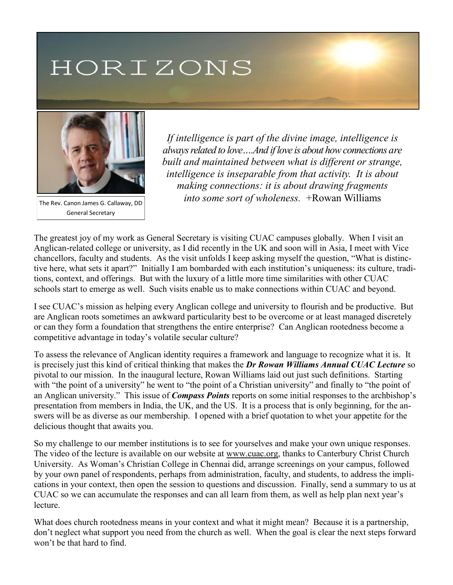# HORIZONS



The Rev. Canon James G. Callaway, DD General Secretary

*If intelligence is part of the divine image, intelligence is always related to love….And if love is about how connections are built and maintained between what is different or strange, intelligence is inseparable from that activity. It is about making connections: it is about drawing fragments into some sort of wholeness.* +Rowan Williams

The greatest joy of my work as General Secretary is visiting CUAC campuses globally. When I visit an Anglican-related college or university, as I did recently in the UK and soon will in Asia, I meet with Vice chancellors, faculty and students. As the visit unfolds I keep asking myself the question, "What is distinctive here, what sets it apart?" Initially I am bombarded with each institution's uniqueness: its culture, traditions, context, and offerings. But with the luxury of a little more time similarities with other CUAC schools start to emerge as well. Such visits enable us to make connections within CUAC and beyond.

I see CUAC's mission as helping every Anglican college and university to flourish and be productive. But are Anglican roots sometimes an awkward particularity best to be overcome or at least managed discretely or can they form a foundation that strengthens the entire enterprise? Can Anglican rootedness become a competitive advantage in today's volatile secular culture?

To assess the relevance of Anglican identity requires a framework and language to recognize what it is. It is precisely just this kind of critical thinking that makes the *Dr Rowan Williams Annual CUAC Lecture* so pivotal to our mission. In the inaugural lecture, Rowan Williams laid out just such definitions. Starting with "the point of a university" he went to "the point of a Christian university" and finally to "the point of an Anglican university." This issue of *Compass Points* reports on some initial responses to the archbishop's presentation from members in India, the UK, and the US. It is a process that is only beginning, for the answers will be as diverse as our membership. I opened with a brief quotation to whet your appetite for the delicious thought that awaits you.

So my challenge to our member institutions is to see for yourselves and make your own unique responses. The video of the lecture is available on our website at [www.cuac.org,](http://www.cuac.org) thanks to Canterbury Christ Church University. As Woman's Christian College in Chennai did, arrange screenings on your campus, followed by your own panel of respondents, perhaps from administration, faculty, and students, to address the implications in your context, then open the session to questions and discussion. Finally, send a summary to us at CUAC so we can accumulate the responses and can all learn from them, as well as help plan next year's **lecture** 

What does church rootedness means in your context and what it might mean? Because it is a partnership, don't neglect what support you need from the church as well. When the goal is clear the next steps forward won't be that hard to find.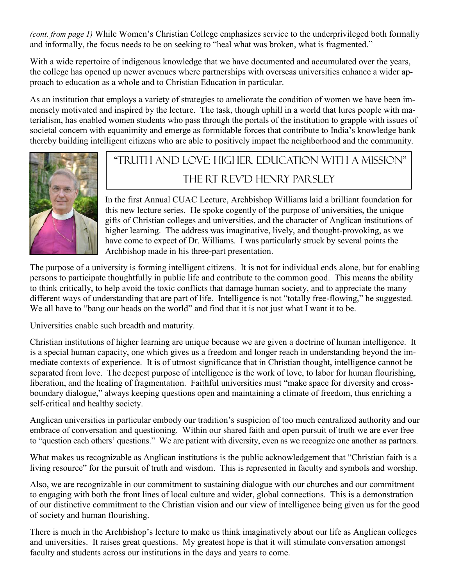*(cont. from page 1)* While Women's Christian College emphasizes service to the underprivileged both formally and informally, the focus needs to be on seeking to "heal what was broken, what is fragmented."

With a wide repertoire of indigenous knowledge that we have documented and accumulated over the years, the college has opened up newer avenues where partnerships with overseas universities enhance a wider approach to education as a whole and to Christian Education in particular.

As an institution that employs a variety of strategies to ameliorate the condition of women we have been immensely motivated and inspired by the lecture. The task, though uphill in a world that lures people with materialism, has enabled women students who pass through the portals of the institution to grapple with issues of societal concern with equanimity and emerge as formidable forces that contribute to India's knowledge bank thereby building intelligent citizens who are able to positively impact the neighborhood and the community.



## "Truth and Love: Higher Education with a Mission" The RT Rev'D Henry Parsley

In the first Annual CUAC Lecture, Archbishop Williams laid a brilliant foundation for this new lecture series. He spoke cogently of the purpose of universities, the unique gifts of Christian colleges and universities, and the character of Anglican institutions of higher learning. The address was imaginative, lively, and thought-provoking, as we have come to expect of Dr. Williams. I was particularly struck by several points the Archbishop made in his three-part presentation.

The purpose of a university is forming intelligent citizens. It is not for individual ends alone, but for enabling persons to participate thoughtfully in public life and contribute to the common good. This means the ability to think critically, to help avoid the toxic conflicts that damage human society, and to appreciate the many different ways of understanding that are part of life. Intelligence is not "totally free-flowing," he suggested. We all have to "bang our heads on the world" and find that it is not just what I want it to be.

Universities enable such breadth and maturity.

Christian institutions of higher learning are unique because we are given a doctrine of human intelligence. It is a special human capacity, one which gives us a freedom and longer reach in understanding beyond the immediate contexts of experience. It is of utmost significance that in Christian thought, intelligence cannot be separated from love. The deepest purpose of intelligence is the work of love, to labor for human flourishing, liberation, and the healing of fragmentation. Faithful universities must "make space for diversity and crossboundary dialogue," always keeping questions open and maintaining a climate of freedom, thus enriching a self-critical and healthy society.

Anglican universities in particular embody our tradition's suspicion of too much centralized authority and our embrace of conversation and questioning. Within our shared faith and open pursuit of truth we are ever free to "question each others' questions." We are patient with diversity, even as we recognize one another as partners.

What makes us recognizable as Anglican institutions is the public acknowledgement that "Christian faith is a living resource" for the pursuit of truth and wisdom. This is represented in faculty and symbols and worship.

Also, we are recognizable in our commitment to sustaining dialogue with our churches and our commitment to engaging with both the front lines of local culture and wider, global connections. This is a demonstration of our distinctive commitment to the Christian vision and our view of intelligence being given us for the good of society and human flourishing.

There is much in the Archbishop's lecture to make us think imaginatively about our life as Anglican colleges and universities. It raises great questions. My greatest hope is that it will stimulate conversation amongst faculty and students across our institutions in the days and years to come.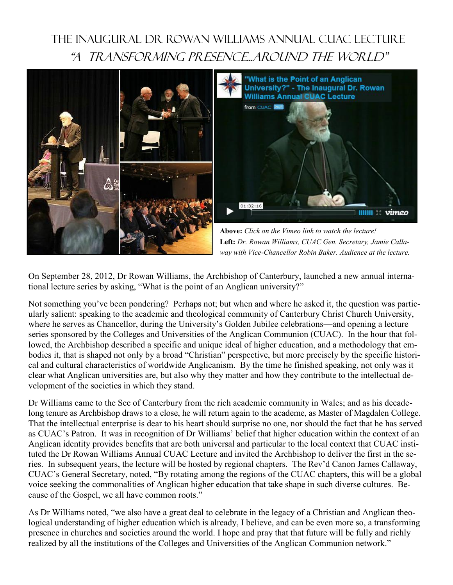## THE INAUGURAL DR ROWAN WILLIAMS ANNUAL CUAC LECTURE "A TRANSFORMING PRESENCE...AROUND THE WORLD"



On September 28, 2012, Dr Rowan Williams, the Archbishop of Canterbury, launched a new annual international lecture series by asking, "What is the point of an Anglican university?"

Not something you've been pondering? Perhaps not; but when and where he asked it, the question was particularly salient: speaking to the academic and theological community of Canterbury Christ Church University, where he serves as Chancellor, during the University's Golden Jubilee celebrations—and opening a lecture series sponsored by the Colleges and Universities of the Anglican Communion (CUAC). In the hour that followed, the Archbishop described a specific and unique ideal of higher education, and a methodology that embodies it, that is shaped not only by a broad "Christian" perspective, but more precisely by the specific historical and cultural characteristics of worldwide Anglicanism. By the time he finished speaking, not only was it clear what Anglican universities are, but also why they matter and how they contribute to the intellectual development of the societies in which they stand.

Dr Williams came to the See of Canterbury from the rich academic community in Wales; and as his decadelong tenure as Archbishop draws to a close, he will return again to the academe, as Master of Magdalen College. That the intellectual enterprise is dear to his heart should surprise no one, nor should the fact that he has served as CUAC's Patron. It was in recognition of Dr Williams' belief that higher education within the context of an Anglican identity provides benefits that are both universal and particular to the local context that CUAC instituted the Dr Rowan Williams Annual CUAC Lecture and invited the Archbishop to deliver the first in the series. In subsequent years, the lecture will be hosted by regional chapters. The Rev'd Canon James Callaway, CUAC's General Secretary, noted, "By rotating among the regions of the CUAC chapters, this will be a global voice seeking the commonalities of Anglican higher education that take shape in such diverse cultures. Because of the Gospel, we all have common roots."

As Dr Williams noted, "we also have a great deal to celebrate in the legacy of a Christian and Anglican theological understanding of higher education which is already, I believe, and can be even more so, a transforming presence in churches and societies around the world. I hope and pray that that future will be fully and richly realized by all the institutions of the Colleges and Universities of the Anglican Communion network."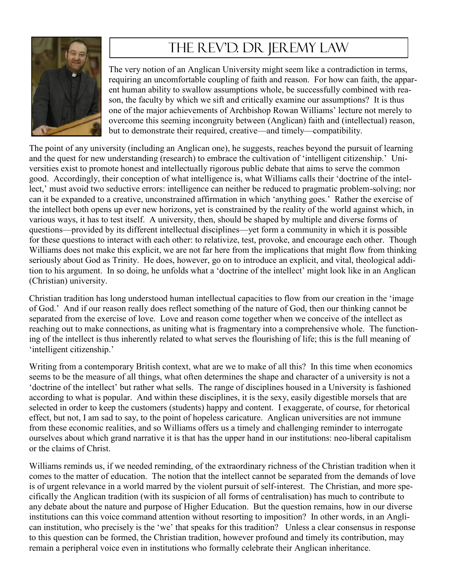

# The Rev'D. DR Jeremy Law

The very notion of an Anglican University might seem like a contradiction in terms, requiring an uncomfortable coupling of faith and reason. For how can faith, the apparent human ability to swallow assumptions whole, be successfully combined with reason, the faculty by which we sift and critically examine our assumptions? It is thus one of the major achievements of Archbishop Rowan Williams' lecture not merely to overcome this seeming incongruity between (Anglican) faith and (intellectual) reason, but to demonstrate their required, creative—and timely—compatibility.

The point of any university (including an Anglican one), he suggests, reaches beyond the pursuit of learning and the quest for new understanding (research) to embrace the cultivation of 'intelligent citizenship.' Universities exist to promote honest and intellectually rigorous public debate that aims to serve the common good. Accordingly, their conception of what intelligence is, what Williams calls their 'doctrine of the intellect,' must avoid two seductive errors: intelligence can neither be reduced to pragmatic problem-solving; nor can it be expanded to a creative, unconstrained affirmation in which 'anything goes.' Rather the exercise of the intellect both opens up ever new horizons, yet is constrained by the reality of the world against which, in various ways, it has to test itself. A university, then, should be shaped by multiple and diverse forms of questions—provided by its different intellectual disciplines—yet form a community in which it is possible for these questions to interact with each other: to relativize, test, provoke, and encourage each other. Though Williams does not make this explicit, we are not far here from the implications that might flow from thinking seriously about God as Trinity. He does, however, go on to introduce an explicit, and vital, theological addition to his argument. In so doing, he unfolds what a 'doctrine of the intellect' might look like in an Anglican (Christian) university.

Christian tradition has long understood human intellectual capacities to flow from our creation in the 'image of God.' And if our reason really does reflect something of the nature of God, then our thinking cannot be separated from the exercise of love. Love and reason come together when we conceive of the intellect as reaching out to make connections, as uniting what is fragmentary into a comprehensive whole. The functioning of the intellect is thus inherently related to what serves the flourishing of life; this is the full meaning of 'intelligent citizenship.'

Writing from a contemporary British context, what are we to make of all this? In this time when economics seems to be the measure of all things, what often determines the shape and character of a university is not a 'doctrine of the intellect' but rather what sells. The range of disciplines housed in a University is fashioned according to what is popular. And within these disciplines, it is the sexy, easily digestible morsels that are selected in order to keep the customers (students) happy and content. I exaggerate, of course, for rhetorical effect, but not, I am sad to say, to the point of hopeless caricature. Anglican universities are not immune from these economic realities, and so Williams offers us a timely and challenging reminder to interrogate ourselves about which grand narrative it is that has the upper hand in our institutions: neo-liberal capitalism or the claims of Christ.

Williams reminds us, if we needed reminding, of the extraordinary richness of the Christian tradition when it comes to the matter of education. The notion that the intellect cannot be separated from the demands of love is of urgent relevance in a world marred by the violent pursuit of self-interest. The Christian, and more specifically the Anglican tradition (with its suspicion of all forms of centralisation) has much to contribute to any debate about the nature and purpose of Higher Education. But the question remains, how in our diverse institutions can this voice command attention without resorting to imposition? In other words, in an Anglican institution, who precisely is the 'we' that speaks for this tradition? Unless a clear consensus in response to this question can be formed, the Christian tradition, however profound and timely its contribution, may remain a peripheral voice even in institutions who formally celebrate their Anglican inheritance.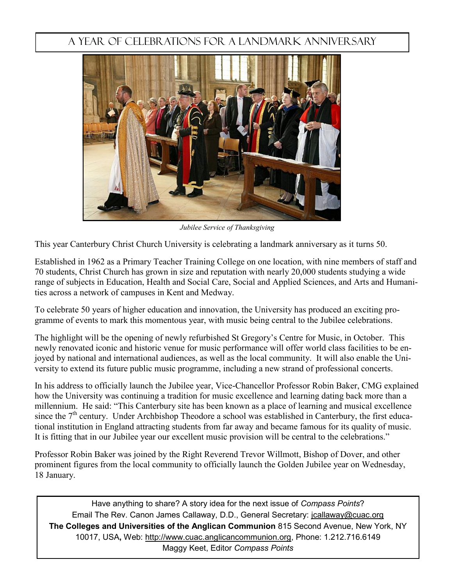#### A Year of Celebrations for A Landmark Anniversary



*Jubilee Service of Thanksgiving*

This year Canterbury Christ Church University is celebrating a landmark anniversary as it turns 50.

Established in 1962 as a Primary Teacher Training College on one location, with nine members of staff and 70 students, Christ Church has grown in size and reputation with nearly 20,000 students studying a wide range of subjects in Education, Health and Social Care, Social and Applied Sciences, and Arts and Humanities across a network of campuses in Kent and Medway.

To celebrate 50 years of higher education and innovation, the University has produced an exciting programme of events to mark this momentous year, with music being central to the Jubilee celebrations.

The highlight will be the opening of newly refurbished St Gregory's Centre for Music, in October. This newly renovated iconic and historic venue for music performance will offer world class facilities to be enjoyed by national and international audiences, as well as the local community. It will also enable the University to extend its future public music programme, including a new strand of professional concerts.

In his address to officially launch the Jubilee year, Vice-Chancellor Professor Robin Baker, CMG explained how the University was continuing a tradition for music excellence and learning dating back more than a millennium. He said: "This Canterbury site has been known as a place of learning and musical excellence since the 7<sup>th</sup> century. Under Archbishop Theodore a school was established in Canterbury, the first educational institution in England attracting students from far away and became famous for its quality of music. It is fitting that in our Jubilee year our excellent music provision will be central to the celebrations."

Professor Robin Baker was joined by the Right Reverend Trevor Willmott, Bishop of Dover, and other prominent figures from the local community to officially launch the Golden Jubilee year on Wednesday, 18 January.

Have anything to share? A story idea for the next issue of *Compass Points*? Email The Rev. Canon James Callaway, D.D., General Secretary: [jcallaway@cuac.org](mailto:jcallaway@cuac.org) **The Colleges and Universities of the Anglican Communion** 815 Second Avenue, New York, NY 10017, USA**,** Web: http://www.cuac.anglicancommunion.org, Phone: 1.212.716.6149 Maggy Keet, Editor *Compass Points*